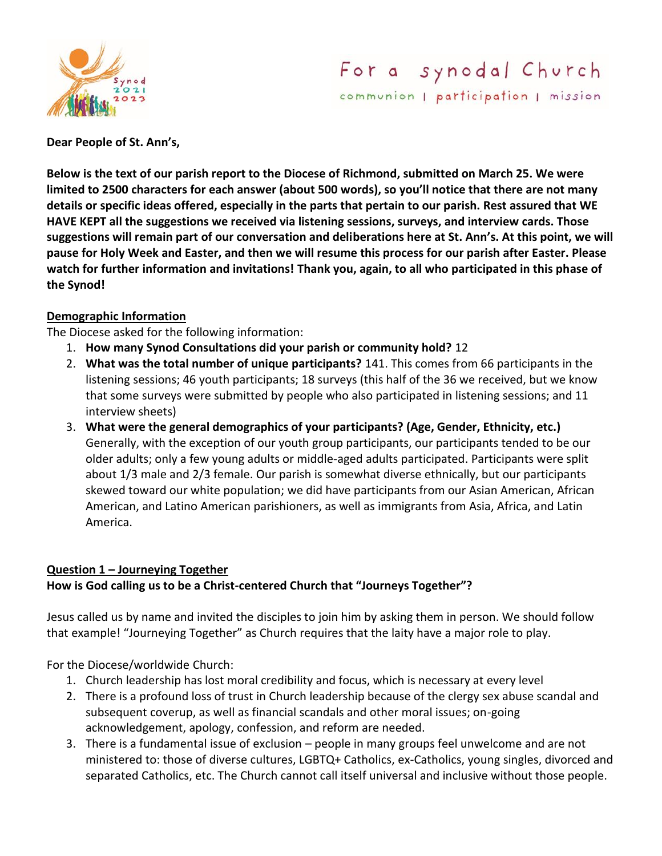

# For a synodal Church communion | participation | mission

**Dear People of St. Ann's,**

**Below is the text of our parish report to the Diocese of Richmond, submitted on March 25. We were limited to 2500 characters for each answer (about 500 words), so you'll notice that there are not many details or specific ideas offered, especially in the parts that pertain to our parish. Rest assured that WE HAVE KEPT all the suggestions we received via listening sessions, surveys, and interview cards. Those suggestions will remain part of our conversation and deliberations here at St. Ann's. At this point, we will pause for Holy Week and Easter, and then we will resume this process for our parish after Easter. Please watch for further information and invitations! Thank you, again, to all who participated in this phase of the Synod!**

#### **Demographic Information**

The Diocese asked for the following information:

- 1. **How many Synod Consultations did your parish or community hold?** 12
- 2. **What was the total number of unique participants?** 141. This comes from 66 participants in the listening sessions; 46 youth participants; 18 surveys (this half of the 36 we received, but we know that some surveys were submitted by people who also participated in listening sessions; and 11 interview sheets)
- 3. **What were the general demographics of your participants? (Age, Gender, Ethnicity, etc.)** Generally, with the exception of our youth group participants, our participants tended to be our older adults; only a few young adults or middle-aged adults participated. Participants were split about 1/3 male and 2/3 female. Our parish is somewhat diverse ethnically, but our participants skewed toward our white population; we did have participants from our Asian American, African American, and Latino American parishioners, as well as immigrants from Asia, Africa, and Latin America.

## **Question 1 – Journeying Together How is God calling us to be a Christ-centered Church that "Journeys Together"?**

Jesus called us by name and invited the disciples to join him by asking them in person. We should follow that example! "Journeying Together" as Church requires that the laity have a major role to play.

For the Diocese/worldwide Church:

- 1. Church leadership has lost moral credibility and focus, which is necessary at every level
- 2. There is a profound loss of trust in Church leadership because of the clergy sex abuse scandal and subsequent coverup, as well as financial scandals and other moral issues; on-going acknowledgement, apology, confession, and reform are needed.
- 3. There is a fundamental issue of exclusion people in many groups feel unwelcome and are not ministered to: those of diverse cultures, LGBTQ+ Catholics, ex-Catholics, young singles, divorced and separated Catholics, etc. The Church cannot call itself universal and inclusive without those people.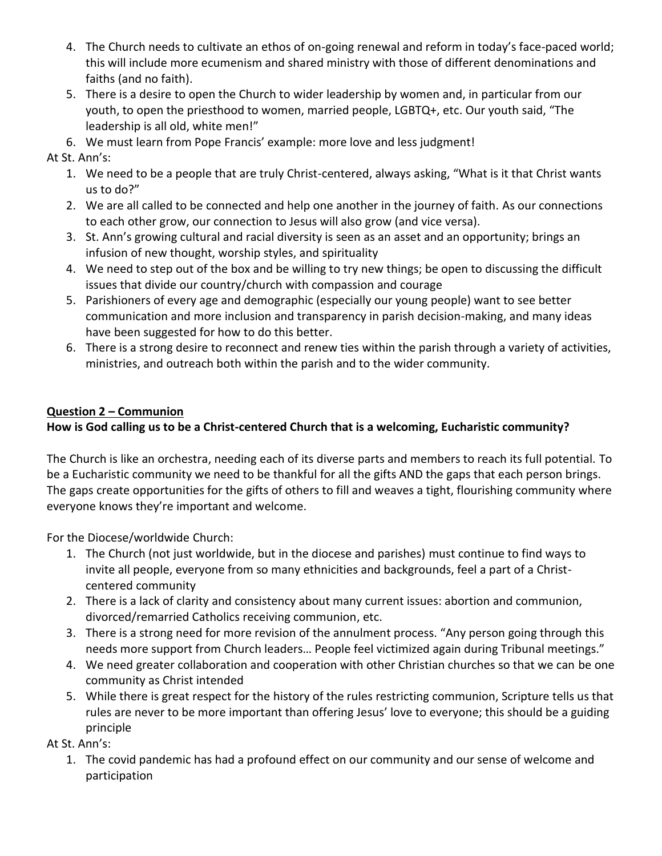- 4. The Church needs to cultivate an ethos of on-going renewal and reform in today's face-paced world; this will include more ecumenism and shared ministry with those of different denominations and faiths (and no faith).
- 5. There is a desire to open the Church to wider leadership by women and, in particular from our youth, to open the priesthood to women, married people, LGBTQ+, etc. Our youth said, "The leadership is all old, white men!"
- 6. We must learn from Pope Francis' example: more love and less judgment!

At St. Ann's:

- 1. We need to be a people that are truly Christ-centered, always asking, "What is it that Christ wants us to do?"
- 2. We are all called to be connected and help one another in the journey of faith. As our connections to each other grow, our connection to Jesus will also grow (and vice versa).
- 3. St. Ann's growing cultural and racial diversity is seen as an asset and an opportunity; brings an infusion of new thought, worship styles, and spirituality
- 4. We need to step out of the box and be willing to try new things; be open to discussing the difficult issues that divide our country/church with compassion and courage
- 5. Parishioners of every age and demographic (especially our young people) want to see better communication and more inclusion and transparency in parish decision-making, and many ideas have been suggested for how to do this better.
- 6. There is a strong desire to reconnect and renew ties within the parish through a variety of activities, ministries, and outreach both within the parish and to the wider community.

# **Question 2 – Communion**

# **How is God calling us to be a Christ-centered Church that is a welcoming, Eucharistic community?**

The Church is like an orchestra, needing each of its diverse parts and members to reach its full potential. To be a Eucharistic community we need to be thankful for all the gifts AND the gaps that each person brings. The gaps create opportunities for the gifts of others to fill and weaves a tight, flourishing community where everyone knows they're important and welcome.

For the Diocese/worldwide Church:

- 1. The Church (not just worldwide, but in the diocese and parishes) must continue to find ways to invite all people, everyone from so many ethnicities and backgrounds, feel a part of a Christcentered community
- 2. There is a lack of clarity and consistency about many current issues: abortion and communion, divorced/remarried Catholics receiving communion, etc.
- 3. There is a strong need for more revision of the annulment process. "Any person going through this needs more support from Church leaders… People feel victimized again during Tribunal meetings."
- 4. We need greater collaboration and cooperation with other Christian churches so that we can be one community as Christ intended
- 5. While there is great respect for the history of the rules restricting communion, Scripture tells us that rules are never to be more important than offering Jesus' love to everyone; this should be a guiding principle

At St. Ann's:

1. The covid pandemic has had a profound effect on our community and our sense of welcome and participation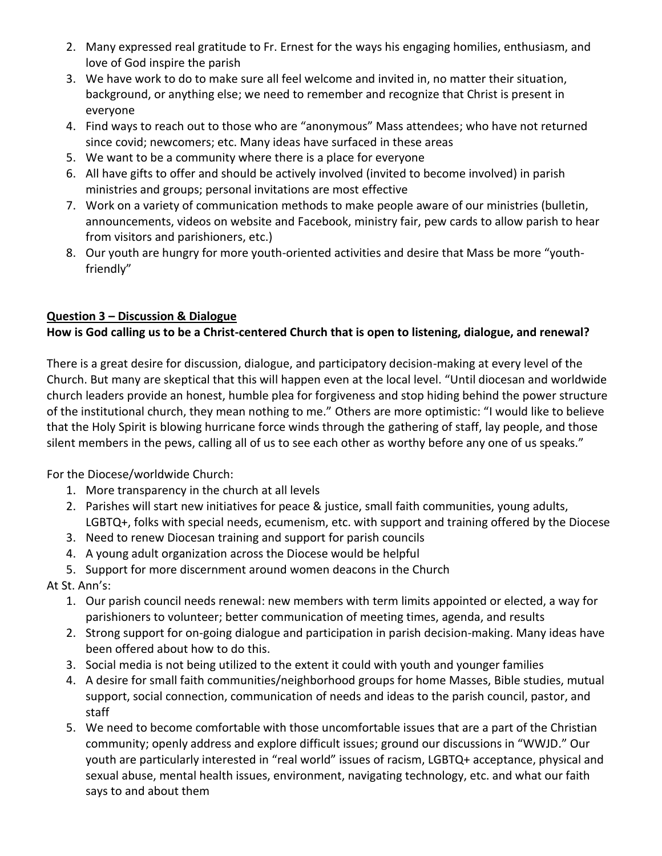- 2. Many expressed real gratitude to Fr. Ernest for the ways his engaging homilies, enthusiasm, and love of God inspire the parish
- 3. We have work to do to make sure all feel welcome and invited in, no matter their situation, background, or anything else; we need to remember and recognize that Christ is present in everyone
- 4. Find ways to reach out to those who are "anonymous" Mass attendees; who have not returned since covid; newcomers; etc. Many ideas have surfaced in these areas
- 5. We want to be a community where there is a place for everyone
- 6. All have gifts to offer and should be actively involved (invited to become involved) in parish ministries and groups; personal invitations are most effective
- 7. Work on a variety of communication methods to make people aware of our ministries (bulletin, announcements, videos on website and Facebook, ministry fair, pew cards to allow parish to hear from visitors and parishioners, etc.)
- 8. Our youth are hungry for more youth-oriented activities and desire that Mass be more "youthfriendly"

# **Question 3 – Discussion & Dialogue**

## **How is God calling us to be a Christ-centered Church that is open to listening, dialogue, and renewal?**

There is a great desire for discussion, dialogue, and participatory decision-making at every level of the Church. But many are skeptical that this will happen even at the local level. "Until diocesan and worldwide church leaders provide an honest, humble plea for forgiveness and stop hiding behind the power structure of the institutional church, they mean nothing to me." Others are more optimistic: "I would like to believe that the Holy Spirit is blowing hurricane force winds through the gathering of staff, lay people, and those silent members in the pews, calling all of us to see each other as worthy before any one of us speaks."

For the Diocese/worldwide Church:

- 1. More transparency in the church at all levels
- 2. Parishes will start new initiatives for peace & justice, small faith communities, young adults, LGBTQ+, folks with special needs, ecumenism, etc. with support and training offered by the Diocese
- 3. Need to renew Diocesan training and support for parish councils
- 4. A young adult organization across the Diocese would be helpful
- 5. Support for more discernment around women deacons in the Church
- At St. Ann's:
	- 1. Our parish council needs renewal: new members with term limits appointed or elected, a way for parishioners to volunteer; better communication of meeting times, agenda, and results
	- 2. Strong support for on-going dialogue and participation in parish decision-making. Many ideas have been offered about how to do this.
	- 3. Social media is not being utilized to the extent it could with youth and younger families
	- 4. A desire for small faith communities/neighborhood groups for home Masses, Bible studies, mutual support, social connection, communication of needs and ideas to the parish council, pastor, and staff
	- 5. We need to become comfortable with those uncomfortable issues that are a part of the Christian community; openly address and explore difficult issues; ground our discussions in "WWJD." Our youth are particularly interested in "real world" issues of racism, LGBTQ+ acceptance, physical and sexual abuse, mental health issues, environment, navigating technology, etc. and what our faith says to and about them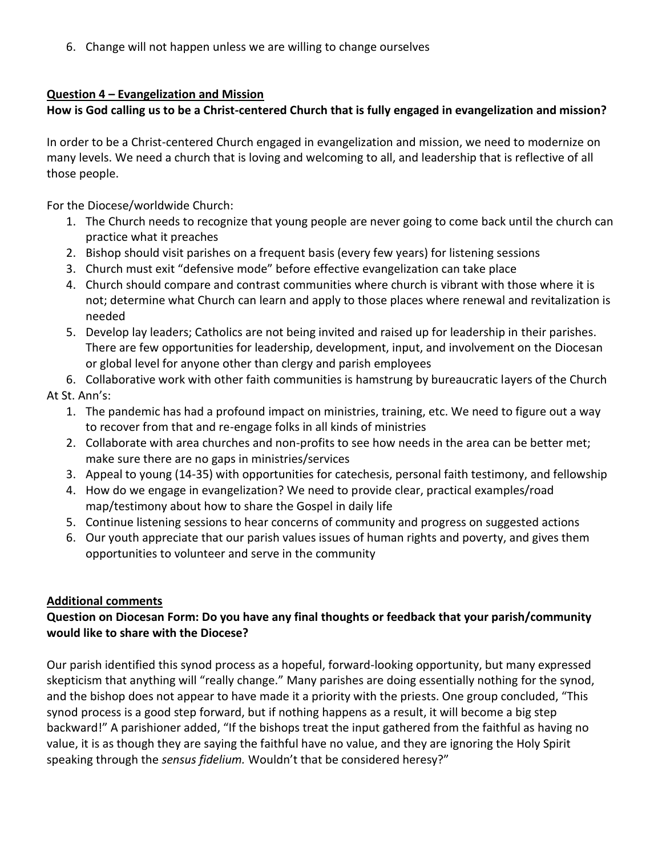6. Change will not happen unless we are willing to change ourselves

### **Question 4 – Evangelization and Mission**

## **How is God calling us to be a Christ-centered Church that is fully engaged in evangelization and mission?**

In order to be a Christ-centered Church engaged in evangelization and mission, we need to modernize on many levels. We need a church that is loving and welcoming to all, and leadership that is reflective of all those people.

For the Diocese/worldwide Church:

- 1. The Church needs to recognize that young people are never going to come back until the church can practice what it preaches
- 2. Bishop should visit parishes on a frequent basis (every few years) for listening sessions
- 3. Church must exit "defensive mode" before effective evangelization can take place
- 4. Church should compare and contrast communities where church is vibrant with those where it is not; determine what Church can learn and apply to those places where renewal and revitalization is needed
- 5. Develop lay leaders; Catholics are not being invited and raised up for leadership in their parishes. There are few opportunities for leadership, development, input, and involvement on the Diocesan or global level for anyone other than clergy and parish employees
- 6. Collaborative work with other faith communities is hamstrung by bureaucratic layers of the Church

## At St. Ann's:

- 1. The pandemic has had a profound impact on ministries, training, etc. We need to figure out a way to recover from that and re-engage folks in all kinds of ministries
- 2. Collaborate with area churches and non-profits to see how needs in the area can be better met; make sure there are no gaps in ministries/services
- 3. Appeal to young (14-35) with opportunities for catechesis, personal faith testimony, and fellowship
- 4. How do we engage in evangelization? We need to provide clear, practical examples/road map/testimony about how to share the Gospel in daily life
- 5. Continue listening sessions to hear concerns of community and progress on suggested actions
- 6. Our youth appreciate that our parish values issues of human rights and poverty, and gives them opportunities to volunteer and serve in the community

#### **Additional comments**

## **Question on Diocesan Form: Do you have any final thoughts or feedback that your parish/community would like to share with the Diocese?**

Our parish identified this synod process as a hopeful, forward-looking opportunity, but many expressed skepticism that anything will "really change." Many parishes are doing essentially nothing for the synod, and the bishop does not appear to have made it a priority with the priests. One group concluded, "This synod process is a good step forward, but if nothing happens as a result, it will become a big step backward!" A parishioner added, "If the bishops treat the input gathered from the faithful as having no value, it is as though they are saying the faithful have no value, and they are ignoring the Holy Spirit speaking through the *sensus fidelium.* Wouldn't that be considered heresy?"